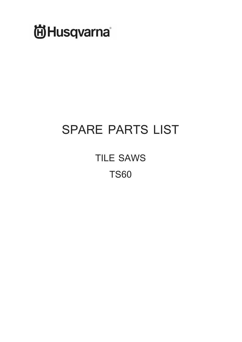

## **SPARE PARTS LIST**

**TILE SAWS TS60**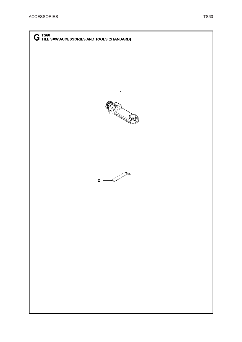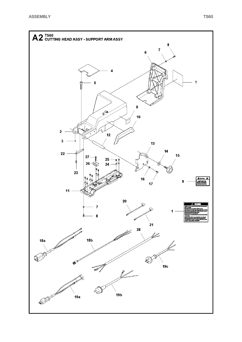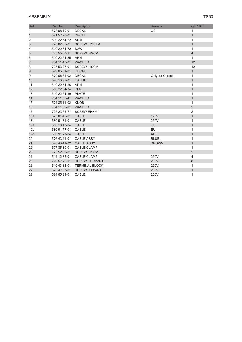| Ref             | Part No      | <b>Description</b>    | Remark          | <b>QTY KIT</b> |
|-----------------|--------------|-----------------------|-----------------|----------------|
| 1               | 578 98 10-01 | <b>DECAL</b>          | <b>US</b>       | 1              |
| 1               | 581 57 76-01 | <b>DECAL</b>          |                 | $\mathbf{1}$   |
| 2               | 510 22 54-22 | <b>ARM</b>            |                 | 1              |
| 3               | 728 82 85-01 | <b>SCREW IHSETM</b>   |                 | $\mathbf{1}$   |
| 4               | 510 22 54-72 | <b>SAW</b>            |                 | 1              |
| 5               | 725 55 00-21 | <b>SCREW IHSCM</b>    |                 | $\overline{4}$ |
| 6               | 510 22 54-25 | <b>ARM</b>            |                 | $\mathbf{1}$   |
| 7               | 734 11 46-01 | <b>WASHER</b>         |                 | 12             |
| 8               | 725 53 27-01 | <b>SCREW IHSCM</b>    |                 | 12             |
| 9               | 579 06 61-01 | <b>DECAL</b>          |                 | $\mathbf{1}$   |
| 9               | 579 06 61-02 | <b>DECAL</b>          | Only for Canada | 1              |
| 10              | 576 13 97-01 | <b>HANDLE</b>         |                 | $\mathbf{1}$   |
| 11              | 510 22 54-26 | <b>ARM</b>            |                 | $\mathbf{1}$   |
| 12              | 510 22 54-34 | <b>PEN</b>            |                 | $\mathbf{1}$   |
| 13              | 510 22 54-30 | <b>PLATE</b>          |                 | $\mathbf{1}$   |
| 14              | 734 11 65-41 | <b>WASHER</b>         |                 | $\mathbf{1}$   |
| 15              | 574 85 11-02 | <b>KNOB</b>           |                 | $\mathbf{1}$   |
| 16              | 734 11 52-01 | <b>WASHER</b>         |                 | $\overline{2}$ |
| 17              | 725 23 66-71 | <b>SCREW EHHM</b>     |                 | $\overline{c}$ |
| 18a             | 525 81 45-01 | CABLE                 | <b>120V</b>     | $\mathbf{1}$   |
| 18 <sub>b</sub> | 580 91 81-01 | CABLE                 | 230V            | 1              |
| 19a             | 510 18 13-04 | <b>CABLE</b>          | <b>US</b>       | $\mathbf{1}$   |
| 19 <sub>b</sub> | 580 91 77-01 | CABLE                 | EU              | $\mathbf{1}$   |
| 19 <sub>c</sub> | 580 91 77-04 | <b>CABLE</b>          | <b>AUS</b>      | $\mathbf{1}$   |
| 20              | 576 43 41-01 | <b>CABLE ASSY</b>     | <b>BLUE</b>     | 1              |
| 21              | 576 43 41-02 | <b>CABLE ASSY</b>     | <b>BROWN</b>    | $\mathbf{1}$   |
| 22              | 577 85 80-01 | <b>CABLE CLAMP</b>    |                 | $\mathbf{1}$   |
| 23              | 725 52 89-01 | <b>SCREW IHSCM</b>    |                 | $\overline{2}$ |
| 24              | 544 12 32-01 | <b>CABLE CLAMP</b>    | 230V            | 4              |
| 25              | 729 57 76-01 | <b>SCREW CCRPANT</b>  | 230V            | 8              |
| 26              | 510 43 34-01 | <b>TERMINAL BLOCK</b> | 230V            | 1              |
| 27              | 525 47 63-01 | <b>SCREW ITXPANT</b>  | 230V            | $\mathbf{1}$   |
| 28              | 584 65 89-01 | <b>CABLE</b>          | 230V            | 1              |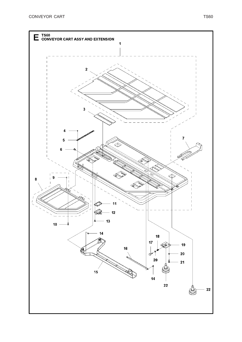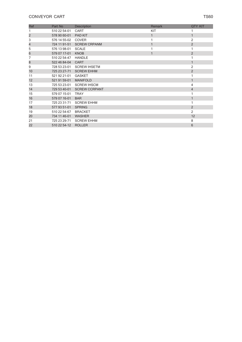## **CONVEYOR CART** TS60

| Ref            | Part No      | <b>Description</b>   | <b>Remark</b> | <b>QTY KIT</b> |
|----------------|--------------|----------------------|---------------|----------------|
|                | 510 22 54-01 | <b>CART</b>          | KIT           |                |
| $\overline{c}$ | 578 90 60-01 | <b>PAD KIT</b>       | 1             | $\mathbf{1}$   |
| 3              | 576 14 55-02 | <b>COVER</b>         |               | 2              |
| 4              | 724 11 91-51 | <b>SCREW CRPANM</b>  | $\mathbf{1}$  | $\overline{2}$ |
| 5              | 576 13 98-01 | <b>SCALE</b>         |               | 1              |
| 6              | 579 07 17-01 | <b>KNOB</b>          | $\mathbf{1}$  | $\overline{2}$ |
| 7              | 510 22 54-47 | <b>HANDLE</b>        |               |                |
| 8              | 522 46 84-04 | <b>CART</b>          |               | $\mathbf{1}$   |
| 9              | 728 53 23-01 | <b>SCREW IHSETM</b>  |               | 2              |
| 10             | 725 23 27-71 | <b>SCREW EHHM</b>    |               | $\overline{2}$ |
| 11             | 521 92 21-01 | <b>GASKET</b>        |               | 1              |
| 12             | 521 91 59-01 | <b>MANIFOLD</b>      |               | $\mathbf{1}$   |
| 13             | 725 53 23-01 | <b>SCREW IHSCM</b>   |               | 4              |
| 14             | 729 53 40-01 | <b>SCREW CCRPANT</b> |               | $\overline{4}$ |
| 15             | 579 07 15-01 | <b>TRAY</b>          |               |                |
| 16             | 579 07 16-01 | <b>BAR</b>           |               | $\mathbf{1}$   |
| 17             | 725 23 31-71 | <b>SCREW EHHM</b>    |               | 1              |
| 18             | 577 93 51-01 | <b>SPRING</b>        |               | $\overline{2}$ |
| 19             | 510 22 54-67 | <b>BRACKET</b>       |               | $\overline{2}$ |
| 20             | 734 11 46-01 | <b>WASHER</b>        |               | 12             |
| 21             | 725 23 29-71 | <b>SCREW EHHM</b>    |               | 8              |
| 22             | 510 22 54-12 | <b>ROLLER</b>        |               | 6              |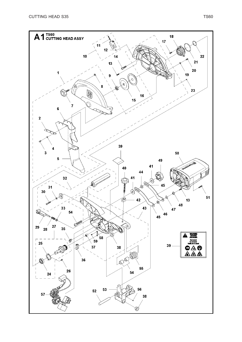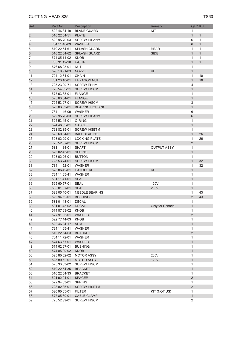| Ref                      | Part No                            | Description            | Remark             |                     | <b>QTY KIT</b> |
|--------------------------|------------------------------------|------------------------|--------------------|---------------------|----------------|
| 1                        | 522 46 84-10                       | <b>BLADE GUARD</b>     | KIT                | 1                   |                |
| $\overline{c}$           | 510 22 54-51                       | <b>PLATE</b>           |                    | $\mathbf{1}$        | $\mathbf{1}$   |
| 3                        | 522 95 70-03                       | <b>SCREW IHPANM</b>    |                    | 6                   | $\mathbf{1}$   |
| $\overline{\mathcal{L}}$ | 734 11 46-09                       | <b>WASHER</b>          |                    | 6                   | $\mathbf{1}$   |
| 5                        | 510 22 54-61                       | <b>SPLASH GUARD</b>    | <b>REAR</b>        | 1                   | 1              |
| 6                        | 510 22 54-62                       | <b>SPLASH GUARD</b>    | <b>SIDE</b>        | $\mathbf{1}$        | $\mathbf{1}$   |
| 7                        | 574 85 11-02                       | <b>KNOB</b>            |                    | 1                   | 1              |
| 8                        | 735 31 12-20                       | E-CLIP                 |                    | $\mathbf{1}$        | $\mathbf{1}$   |
| 9                        | 576 68 23-01                       | <b>NUT</b>             |                    | 1                   |                |
| 10                       | 576 19 91-03                       | <b>NOZZLE</b>          | <b>KIT</b>         | $\mathbf{1}$        |                |
| 11                       | 724 12 34-01                       | <b>CHAIN</b>           |                    | 1                   | 10             |
| 12                       | 731 23 10-01                       | <b>HEXAGON NUT</b>     |                    | $\mathbf{1}$        | 10             |
| 13                       | 725 23 29-71                       | <b>SCREW EHHM</b>      |                    | 4                   |                |
| 14                       | 725 54 55-21                       | <b>SCREW IHSCM</b>     |                    | $\mathbf{1}$        |                |
| 15                       | 575 63 68-01                       | <b>FLANGE</b>          |                    | 1                   |                |
| 16                       | 575 63 64-01                       | <b>FLANGE</b>          |                    | $\mathbf{1}$        |                |
| 17                       | 725 53 27-01                       | <b>SCREW IHSCM</b>     |                    | 3                   |                |
| 18                       | 523 03 09-01                       | <b>BEARING HOUSING</b> |                    | $\mathbf{1}$        |                |
| 19                       | 734 11 46-09                       | <b>WASHER</b>          |                    | 6                   |                |
| 20                       | 522 95 70-03                       | <b>SCREW IHPANM</b>    |                    | 6                   |                |
| 21                       | 525 53 45-01                       | O-RING                 |                    | 1                   |                |
| 22                       | 574 46 05-01                       | <b>GASKET</b>          |                    | $\mathbf{1}$        |                |
| 23                       | 728 82 85-01                       | <b>SCREW IHSETM</b>    |                    | 1                   |                |
| 24                       | 525 60 54-01                       | <b>BALL BEARING</b>    |                    | $\mathbf{1}$        | 26             |
| 25                       | 523 02 29-01                       | <b>LOCKING PLATE</b>   |                    | 1                   | 26             |
| 26                       | 725 52 87-01                       | <b>SCREW IHSCM</b>     |                    | $\overline{2}$      |                |
| 27                       | 581 11 34-01                       | <b>SHAFT</b>           | <b>OUTPUT ASSY</b> | 1                   |                |
| 28                       | 523 02 43-01                       | <b>SPRING</b>          |                    | $\mathbf{1}$        |                |
| 29                       | 523 02 26-01                       | <b>BUTTON</b>          |                    | 1                   |                |
| 30                       | 725 53 74-01                       | <b>SCREW IHSCM</b>     |                    | $\mathbf{1}$        | 32             |
| 31                       | 734 11 52-01                       | <b>WASHER</b>          |                    | 1                   | 32             |
| 32                       | 578 86 42-01                       | <b>HANDLE KIT</b>      | <b>KIT</b>         | $\mathbf{1}$        |                |
| 33                       | 734 11 65-41                       | <b>WASHER</b>          |                    | 1                   |                |
| 35                       | 581 11 41-01                       | <b>SEAL</b>            |                    | $\mathbf{1}$        |                |
| 36                       | 525 60 57-01                       | <b>SEAL</b>            | 120V               | 1                   |                |
| 36                       | 585 01 87-01                       | <b>SEAL</b>            | 230V               | $\mathbf{1}$        |                |
| 37                       | 523 05 40-01                       | <b>NEEDLE BEARING</b>  |                    | 1                   | 43             |
| 38<br>39                 | 522 94 62-01                       | <b>BUSHING</b>         |                    | $\overline{2}$<br>1 | 43             |
| 39                       | 581 01 43-01                       | <b>DECAL</b>           |                    | $\mathbf{1}$        |                |
| 40                       | 581 01 43-02 DECAL<br>574 87 63-02 | <b>KNOB</b>            | Only for Canada    | 1                   |                |
| 41                       | 577 91 35-01                       | <b>WASHER</b>          |                    | $\overline{c}$      |                |
| 42                       | 522 77 44-03                       | <b>KNOB</b>            |                    | 1                   |                |
| 43                       | 522 46 84-17                       | <b>ARM</b>             |                    | $\mathbf{1}$        |                |
| 44                       | 734 11 65-41                       | WASHER                 |                    | 1                   |                |
| 45                       | 510 22 54-63                       | <b>BRACKET</b>         |                    | $\overline{c}$      |                |
| 46                       | 734 11 72-01                       | WASHER                 |                    | 1                   |                |
| 47                       | 574 63 67-01                       | <b>WASHER</b>          |                    | $\mathbf{1}$        |                |
| 48                       | 574 62 67-01                       | <b>BUSHING</b>         |                    | 1                   |                |
| 49                       | 574 85 09-02                       | <b>KNOB</b>            |                    | $\mathbf{1}$        |                |
| 50                       | 525 80 52-02                       | <b>MOTOR ASSY</b>      | 230V               | 1                   |                |
| 50                       | 525 80 52-01                       | <b>MOTOR ASSY</b>      | <b>120V</b>        | $\mathbf{1}$        |                |
| 51                       | 575 33 53-02                       | <b>SCREW IHSCM</b>     |                    | 1                   |                |
| 52                       | 510 22 54-35                       | <b>BRACKET</b>         |                    | $\mathbf{1}$        |                |
| 53                       | 510 22 54-33                       | <b>BRACKET</b>         |                    | 1                   |                |
| 54                       | 521 92 94-01                       | <b>SPACER</b>          |                    | $\overline{c}$      |                |
| 55                       | 522 94 63-01                       | <b>SPRING</b>          |                    | 1                   |                |
| 56                       | 728 82 85-01                       | <b>SCREW IHSETM</b>    |                    | $\overline{c}$      |                |
| 57                       | 580 90 05-01                       | <b>FILTER</b>          | KIT (NOT US)       | 1                   |                |
| 58                       | 577 85 80-01                       | <b>CABLE CLAMP</b>     |                    | $\mathbf{1}$        |                |
| 59                       | 725 52 89-01                       | <b>SCREW IHSCM</b>     |                    | $\overline{2}$      |                |
|                          |                                    |                        |                    |                     |                |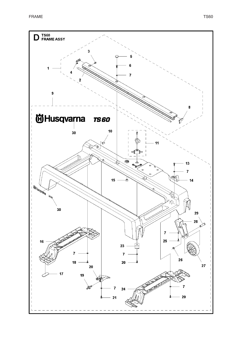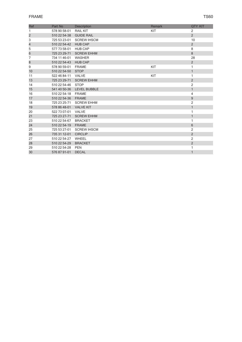| Ref                     | Part No                 | <b>Description</b>        | Remark | <b>QTY KIT</b> |
|-------------------------|-------------------------|---------------------------|--------|----------------|
| 1                       | 578 90 58-01            | <b>RAIL KIT</b>           | KIT    | 2              |
| $\overline{\mathbf{c}}$ | 510 22 54-38 GUIDE RAIL |                           |        | 2              |
| 3                       |                         | 725 53 23-01 SCREW IHSCM  |        | 10             |
| 4                       | 510 22 54-42 HUB CAP    |                           |        | $\overline{2}$ |
| 5                       | 577 73 58-01 HUB CAP    |                           |        | 8              |
| 6                       | 725 23 29-71            | <b>SCREW EHHM</b>         |        | 8              |
| 7                       | 734 11 46-01            | WASHER                    |        | 28             |
| 8                       | 510 22 54-43 HUB CAP    |                           |        | $\overline{2}$ |
| 9                       | 578 90 59-01 FRAME      |                           | KIT    | $\mathbf{1}$   |
| 10                      | 510 22 54-50 STOP       |                           |        | $\mathbf{1}$   |
| 11                      | 522 46 84-11            | VALVE                     | KIT    | $\mathbf{1}$   |
| 13                      | 725 23 29-71            | <b>SCREW EHHM</b>         |        | $\overline{2}$ |
| 14                      | 510 22 54-46 STOP       |                           |        | $\overline{2}$ |
| 15                      |                         | 541 40 50-36 LEVEL BUBBLE |        | $\mathbf{1}$   |
| 16                      | 510 22 54-18 FRAME      |                           |        | 4              |
| 17                      | 510 22 54-36 FRAME      |                           |        | 9              |
| 18                      |                         | 725 23 25-71 SCREW EHHM   |        | $\overline{c}$ |
| 19                      | 578 86 48-01 VALVE KIT  |                           |        | $\mathbf{1}$   |
| 20                      | 522 73 07-01 VALVE      |                           |        | $\mathbf{1}$   |
| 21                      | 725 23 27-71            | <b>SCREW EHHM</b>         |        | $\mathbf{1}$   |
| 23                      | 510 22 54-67 BRACKET    |                           |        | $\mathbf{1}$   |
| 24                      | 510 22 54-19            | <b>FRAME</b>              |        | 6              |
| 25                      |                         | 725 53 27-01 SCREW IHSCM  |        | $\overline{2}$ |
| 26                      | 735 31 12-01            | <b>CIRCLIP</b>            |        | $\overline{2}$ |
| 27                      | 510 22 54-27            | WHEEL                     |        | $\overline{2}$ |
| 28                      | 510 22 54-29            | <b>BRACKET</b>            |        | 2              |
| 29                      | 510 22 54-28            | <b>PEN</b>                |        | 1              |
| 30                      | 576 87 91-01            | <b>DECAL</b>              |        | $\mathbf{1}$   |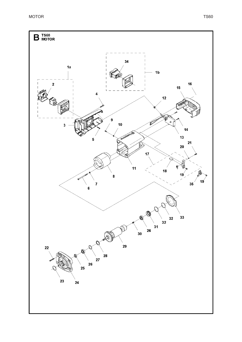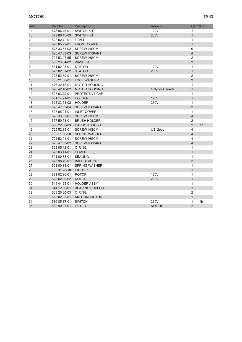| <b>Ref</b>     | Part No      | Description            | Remark          | <b>QTY KIT</b> |                |
|----------------|--------------|------------------------|-----------------|----------------|----------------|
| 1a             | 578 86 45-01 | <b>SWITCH KIT</b>      | <b>120V</b>     | 1              |                |
| 1 <sub>b</sub> | 578 86 45-03 | <b>SWITCH KIT</b>      | 230V            | $\mathbf{1}$   |                |
| 2              | 523 02 42-01 | LEVER                  |                 | $\mathbf{1}$   |                |
| 3              | 523 05 22-01 | <b>FRONT COVER</b>     |                 | $\mathbf{1}$   |                |
| 4              | 575 33 53-02 | <b>SCREW IHSCM</b>     |                 | 6              |                |
| 5              | 525 47 63-03 | <b>SCREW ITXPANT</b>   |                 | $\overline{4}$ |                |
| 6              | 725 53 47-55 | <b>SCREW IHSCM</b>     |                 | $\overline{2}$ |                |
| 7              | 503 23 04-02 | <b>WASHER</b>          |                 | $\overline{2}$ |                |
| 8              | 581 02 98-01 | <b>STATOR</b>          | 120V            | $\mathbf{1}$   |                |
| 8              | 523 02 37-02 | <b>STATOR</b>          | 230V            | $\mathbf{1}$   |                |
| 9              | 725 52 89-01 | <b>SCREW IHSCM</b>     |                 | $\overline{2}$ |                |
| 10             | 735 21 36-01 | <b>LOCK WASHER</b>     |                 | $\overline{2}$ |                |
| 11             | 576 42 18-01 | <b>MOTOR HOUSING</b>   |                 | $\mathbf{1}$   |                |
| 11             | 576 42 18-02 | <b>MOTOR HOUSING</b>   | Only for Canada | $\mathbf{1}$   |                |
| 12             | 525 63 79-01 | PROTECTIVE CAP         |                 | $\mathbf{1}$   |                |
| 13             | 581 14 21-01 | <b>HOLDER</b>          | <b>120V</b>     | $\mathbf{1}$   |                |
| 13             | 525 83 53-02 | <b>HOLDER</b>          | 230V            | $\mathbf{1}$   |                |
| 14             | 525 47 63-04 | <b>SCREW ITXPANT</b>   |                 | $\overline{2}$ |                |
| 15             | 523 05 21-01 | <b>INLET COVER</b>     |                 | $\mathbf{1}$   |                |
| 16             | 575 33 53-01 | <b>SCREW IHSCM</b>     |                 | $\overline{4}$ |                |
| 17             | 577 50 73-01 | <b>BRUSH HOLDER</b>    |                 | $\overline{c}$ |                |
| 18             | 506 22 58-03 | <b>CARBON BRUSH</b>    |                 | $\overline{2}$ | 17             |
| 19             | 725 52 85-01 | <b>SCREW IHSCM</b>     | US: 2pcs        | $\overline{4}$ |                |
| 20             | 735 11 36-50 | SPRING WASHER          |                 | $\overline{4}$ |                |
| 21             | 725 52 91-01 | <b>SCREW IHSCM</b>     |                 | $\overline{4}$ |                |
| 22             | 525 47 63-02 | <b>SCREW ITXPANT</b>   |                 | $\overline{4}$ |                |
| 23             | 523 05 42-01 | O-RING                 |                 | $\mathbf{1}$   |                |
| 24             | 523 03 11-01 | <b>COVER</b>           |                 | $\mathbf{1}$   |                |
| 25             | 501 00 83-01 | <b>SEALING</b>         |                 | $\mathbf{1}$   |                |
| 26             | 575 98 49-01 | <b>BALL BEARING</b>    |                 | $\overline{2}$ |                |
| 27             | 501 00 84-01 | <b>SPRING WASHER</b>   |                 | $\mathbf{1}$   |                |
| 28             | 735 31 28-10 | <b>CIRCLIP</b>         |                 | $\mathbf{1}$   |                |
| 29             | 581 02 96-01 | <b>ROTOR</b>           | 120V            | $\mathbf{1}$   |                |
| 29             | 523 02 36-02 | <b>ROTOR</b>           | 230V            | $\mathbf{1}$   |                |
| 30             | 544 44 65-01 | <b>HOLDER ASSY</b>     |                 | $\mathbf{1}$   |                |
| 31             | 544 12 30-01 | <b>BEARING SUPPORT</b> |                 | $\mathbf{1}$   |                |
| 32             | 503 26 30-03 | O-RING                 |                 | $\overline{c}$ |                |
| 33             | 523 02 33-01 | AIR CONDUCTOR          |                 | $\mathbf{1}$   |                |
| 34             | 580 85 87-01 | <b>SWITCH</b>          | 230V            | $\mathbf{1}$   | 1 <sub>b</sub> |
| 35             | 580 90 07-01 | <b>FILTER</b>          | <b>NOT US</b>   | $\overline{2}$ |                |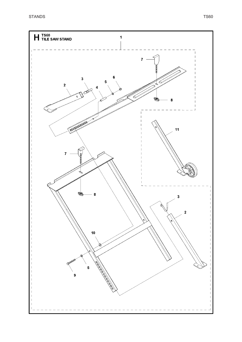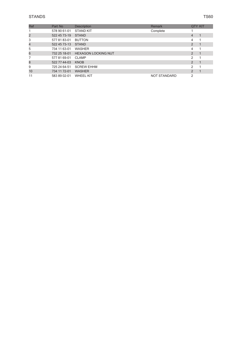| Ref | Part No      | <b>Description</b>         | Remark              | <b>QTY KIT</b> |  |
|-----|--------------|----------------------------|---------------------|----------------|--|
|     | 578 90 61-01 | <b>STAND KIT</b>           | Complete            |                |  |
| 2   | 522 45 73-19 | <b>STAND</b>               |                     | 4              |  |
| 3   | 577 81 83-01 | <b>BUTTON</b>              |                     | 4              |  |
| 4   | 522 45 73-13 | <b>STAND</b>               |                     | $\overline{2}$ |  |
| 5   | 734 11 63-01 | <b>WASHER</b>              |                     | 4              |  |
| 6   | 732 25 18-01 | <b>HEXAGON LOCKING NUT</b> |                     | $\overline{2}$ |  |
|     | 577 81 69-01 | <b>CLAMP</b>               |                     | $\mathcal{P}$  |  |
| 8   | 522 77 44-03 | <b>KNOB</b>                |                     | $\overline{2}$ |  |
| 9   | 725 24 64-51 | <b>SCREW EHHM</b>          |                     | 2              |  |
| 10  | 734 11 72-01 | <b>WASHER</b>              |                     | $\mathcal{P}$  |  |
| 11  | 583 89 02-01 | <b>WHEEL KIT</b>           | <b>NOT STANDARD</b> | 2              |  |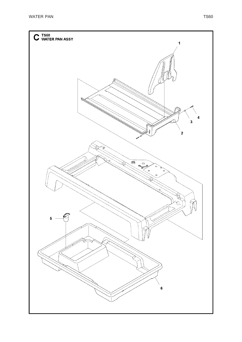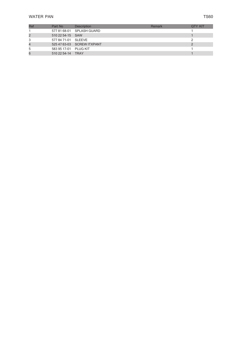| Ref | Part No               | <b>Description</b>         | Remark | <b>QTY KIT</b> |
|-----|-----------------------|----------------------------|--------|----------------|
|     |                       | 577 81 68-01 SPLASH GUARD  |        |                |
|     | 510 22 54-15 SAW      |                            |        |                |
|     | 577 84 71-01 SLEEVE   |                            |        |                |
|     |                       | 525 47 63-03 SCREW ITXPANT |        |                |
| 5   | 583 95 17-01 PLUG KIT |                            |        |                |
|     | 510 22 54-14 TRAY     |                            |        |                |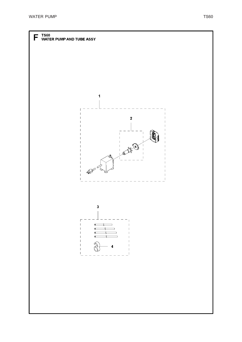